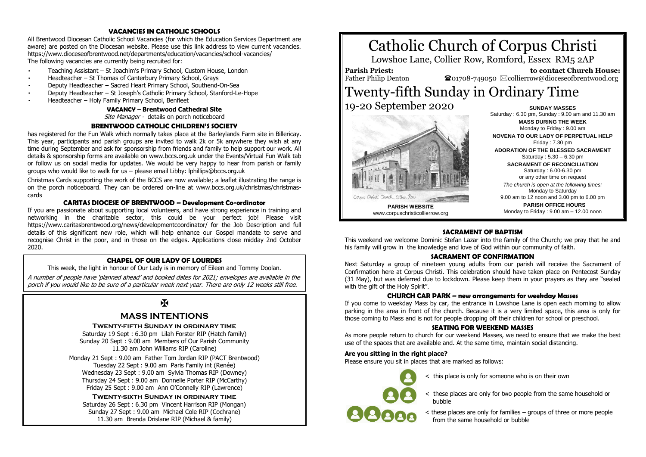#### **VACANCIES IN CATHOLIC SCHOOLS**

All Brentwood Diocesan Catholic School Vacancies (for which the Education Services Department are aware) are posted on the Diocesan website. Please use this link address to view current vacancies. <https://www.dioceseofbrentwood.net/departments/education/vacancies/school-vacancies/> The following vacancies are currently being recruited for:

- Teaching Assistant [St Joachim's Primary School, Custom House, London](https://www.dioceseofbrentwood.net/wp-content/uploads/2020/09/2020-09-08_Teaching-Assistant-Advert-Sept-2020-St-Joachims.pdf)
- Headteacher [St Thomas of Canterbury Primary School, Grays](https://www.dioceseofbrentwood.net/wp-content/uploads/2020/09/St-Thomas-of-Canterbury-Grays-HT-Job-Advert.pdf)
- Deputy Headteacher [Sacred Heart Primary School, Southend-On-Sea](https://www.dioceseofbrentwood.net/wp-content/uploads/2020/09/Sacred-Heart-Southend-On-Sea-DHT-Job-Advert.pdf)
- Deputy Headteacher St [Joseph's Catholic Primary School, Stanford](https://www.dioceseofbrentwood.net/wp-content/uploads/2020/09/St-Josephs-Stanford-Le-Hope-DHT-Job-Advert-1.pdf)-Le-Hope
- Headteacher [Holy Family Primary School, Benfleet](https://www.dioceseofbrentwood.net/wp-content/uploads/2020/09/Holy-Family-Benfleet-HT-Job-Advert.pdf)

# **VACANCY – Brentwood Cathedral Site**

Site Manager - details on porch noticeboard

#### **BRENTWOOD CATHOLIC CHILDREN'S SOCIETY**

has registered for the Fun Walk which normally takes place at the Barleylands Farm site in Billericay. This year, participants and parish groups are invited to walk 2k or 5k anywhere they wish at any time during September and ask for sponsorship from friends and family to help support our work. All details & sponsorship forms are available on www.bccs.org.uk under the Events/Virtual Fun Walk tab or follow us on social media for updates. We would be very happy to hear from parish or family groups who would like to walk for us – please email Libby: lphillips@bccs.org.uk

Christmas Cards supporting the work of the BCCS are now available; a leaflet illustrating the range is on the porch noticeboard. They can be ordered on-line at www.bccs.org.uk/christmas/christmascards

#### **CARITAS DIOCESE OF BRENTWOOD – Development Co-ordinator**

If you are passionate about supporting local volunteers, and have strong experience in training and networking in the charitable sector, this could be your perfect job! Please visit https://www.caritasbrentwood.org/news/developmentcoordinator/ for the Job Description and full details of this significant new role, which will help enhance our Gospel mandate to serve and recognise Christ in the poor, and in those on the edges. Applications close midday 2nd October 2020.

#### **CHAPEL OF OUR LADY OF LOURDES**

This week, the light in honour of Our Lady is in memory of Eileen and Tommy Doolan. A number of people have 'planned ahead' and booked dates for 2021; envelopes are available in the porch if you would like to be sure of a particular week next year. There are only 12 weeks still free.

# K

## **MASS INTENTIONS**

#### **Twenty-fifth Sunday in ordinary time**

Saturday 19 Sept : 6.30 pm Lilah Forster RIP (Hatch family) Sunday 20 Sept : 9.00 am Members of Our Parish Community 11.30 am John Williams RIP (Caroline)

Monday 21 Sept : 9.00 am Father Tom Jordan RIP (PACT Brentwood) Tuesday 22 Sept : 9.00 am Paris Family int (Renée) Wednesday 23 Sept : 9.00 am Sylvia Thomas RIP (Downey) Thursday 24 Sept : 9.00 am Donnelle Porter RIP (McCarthy) Friday 25 Sept : 9.00 am Ann O'Connelly RIP (Lawrence)

**Twenty-sixth Sunday in ordinary time** Saturday 26 Sept : 6.30 pm Vincent Harrison RIP (Mongan) Sunday 27 Sept : 9.00 am Michael Cole RIP (Cochrane) 11.30 am Brenda Drislane RIP (Michael & family)



# Corpus Christi Church, Collier, Roa

**PARISH WEBSITE** www.corpuschristicollierrow.org

19-20 September 2020

**SUNDAY MASSES** Saturday : 6.30 pm, Sunday : 9.00 am and 11.30 am **MASS DURING THE WEEK** Monday to Friday : 9.00 am **NOVENA TO OUR LADY OF PERPETUAL HELP** Friday : 7.30 pm **ADORATION OF THE BLESSED SACRAMENT** Saturday : 5.30 – 6.30 pm **SACRAMENT OF RECONCILIATION** Saturday : 6.00-6.30 pm or any other time on request *The church is open at the following times:* Monday to Saturday 9.00 am to 12 noon and 3.00 pm to 6.00 pm **PARISH OFFICE HOURS** Monday to Friday : 9.00 am – 12.00 noon

#### **SACRAMENT OF BAPTISM**

This weekend we welcome Dominic Stefan Lazar into the family of the Church; we pray that he and his family will grow in the knowledge and love of God within our community of faith.

#### **SACRAMENT OF CONFIRMATION**

Next Saturday a group of nineteen young adults from our parish will receive the Sacrament of Confirmation here at Corpus Christi. This celebration should have taken place on Pentecost Sunday (31 May), but was deferred due to lockdown. Please keep them in your prayers as they are "sealed with the gift of the Holy Spirit".

#### **CHURCH CAR PARK – new arrangements for weekday Masses**

If you come to weekday Mass by car, the entrance in Lowshoe Lane is open each morning to allow parking in the area in front of the church. Because it is a very limited space, this area is only for those coming to Mass and is not for people dropping off their children for school or preschool.

#### **SEATING FOR WEEKEND MASSES**

As more people return to church for our weekend Masses, we need to ensure that we make the best use of the spaces that are available and. At the same time, maintain social distancing.

#### **Are you sitting in the right place?**

Please ensure you sit in places that are marked as follows:

- - < this place is only for someone who is on their own
	- < these places are only for two people from the same household or bubble
	- < these places are only for families groups of three or more people from the same household or bubble